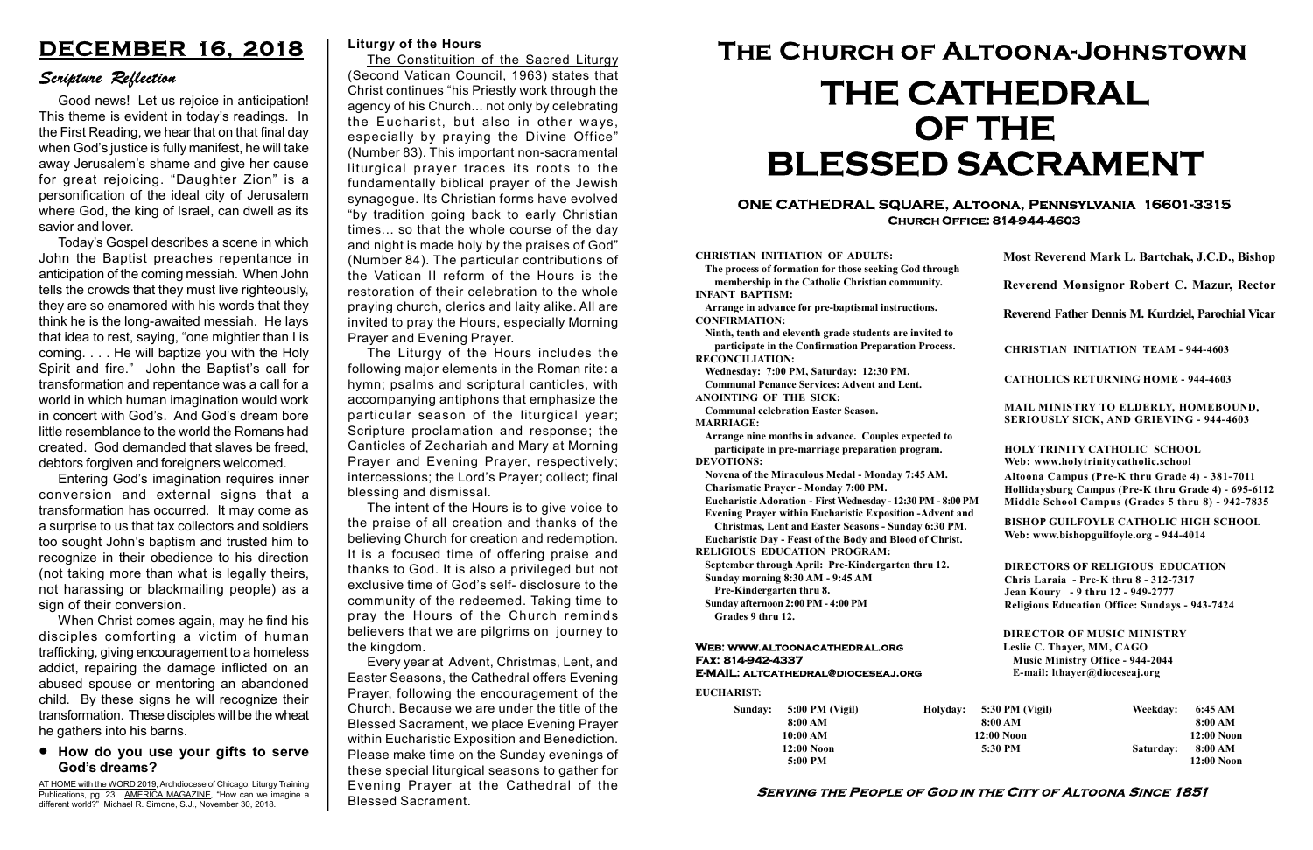#### Serving the People of God in the City of Altoona Since 1851

Sunday: 5:00 PM (Vigil) 8:00 AM 10:00 AM 12:00 Noon 5:00 PM

Holyday:

#### Web: www.altoonacathedral.org Fax: 814-942-4337 E-MAIL: altcathedral@dioceseaj.org

EUCHARIST:

#### CHRISTIAN INITIATION OF ADULTS:

The process of formation for those seeking God through membership in the Catholic Christian community. INFANT BAPTISM:

Arrange in advance for pre-baptismal instructions. CONFIRMATION:

Ninth, tenth and eleventh grade students are invited to participate in the Confirmation Preparation Process. RECONCILIATION:

Wednesday: 7:00 PM, Saturday: 12:30 PM. Communal Penance Services: Advent and Lent.

ANOINTING OF THE SICK: Communal celebration Easter Season.

MARRIAGE:

Arrange nine months in advance. Couples expected to participate in pre-marriage preparation program. DEVOTIONS:

Novena of the Miraculous Medal - Monday 7:45 AM. Charismatic Prayer - Monday 7:00 PM.

Eucharistic Adoration - First Wednesday - 12:30 PM - 8:00 PM

Evening Prayer within Eucharistic Exposition -Advent and

Christmas, Lent and Easter Seasons - Sunday 6:30 PM. Eucharistic Day - Feast of the Body and Blood of Christ.

|                         | Most Reverend Mark L. Bartchak, J.C.D., Bishop<br>Reverend Monsignor Robert C. Mazur, Rector                                                                                    |           |                         |
|-------------------------|---------------------------------------------------------------------------------------------------------------------------------------------------------------------------------|-----------|-------------------------|
|                         |                                                                                                                                                                                 |           |                         |
|                         | Reverend Father Dennis M. Kurdziel, Parochial Vicar                                                                                                                             |           |                         |
|                         | <b>CHRISTIAN INITIATION TEAM - 944-4603</b>                                                                                                                                     |           |                         |
|                         | <b>CATHOLICS RETURNING HOME - 944-4603</b>                                                                                                                                      |           |                         |
|                         | MAIL MINISTRY TO ELDERLY, HOMEBOUND,<br><b>SERIOUSLY SICK, AND GRIEVING - 944-4603</b>                                                                                          |           |                         |
|                         | <b>HOLY TRINITY CATHOLIC SCHOOL</b><br>Web: www.holytrinitycatholic.school                                                                                                      |           |                         |
| М                       | Altoona Campus (Pre-K thru Grade 4) - 381-7011<br>Hollidaysburg Campus (Pre-K thru Grade 4) - 695-6112<br>Middle School Campus (Grades 5 thru 8) - 942-7835                     |           |                         |
| ł                       | <b>BISHOP GUILFOYLE CATHOLIC HIGH SCHOOL</b><br>Web: www.bishopguilfoyle.org - 944-4014                                                                                         |           |                         |
|                         | <b>DIRECTORS OF RELIGIOUS EDUCATION</b><br>Chris Laraia - Pre-K thru 8 - 312-7317<br>Jean Koury - 9 thru 12 - 949-2777<br><b>Religious Education Office: Sundays - 943-7424</b> |           |                         |
|                         | <b>DIRECTOR OF MUSIC MINISTRY</b><br>Leslie C. Thayer, MM, CAGO<br><b>Music Ministry Office - 944-2044</b><br>E-mail: lthayer@dioceseaj.org                                     |           |                         |
| 5:30 PM (Vigil)         |                                                                                                                                                                                 | Weekday:  | 6:45 AM                 |
| 8:00 AM<br>$12:00$ Noon |                                                                                                                                                                                 |           | 8:00 AM<br>12:00 Noon   |
|                         | 5:30 PM                                                                                                                                                                         | Saturday: | 8:00 AM<br>$12:00$ Noon |
|                         |                                                                                                                                                                                 |           |                         |

RELIGIOUS EDUCATION PROGRAM:

September through April: Pre-Kindergarten thru 12. Sunday morning 8:30 AM - 9:45 AM

AT HOME with the WORD 2019, Archdiocese of Chicago: Liturgy Training Publications, pg. 23. AMERICA MAGAZINE, "How can we imagine a different world?" Michael R. Simone, S.J., November 30, 2018.

Pre-Kindergarten thru 8.

Sunday afternoon 2:00 PM - 4:00 PM Grades 9 thru 12.

#### ONE CATHEDRAL SQUARE, Altoona, Pennsylvania 16601-3315 Church Office: 814-944-4603

# The Church of Altoona-Johnstown THE CATHEDRAL OF THE BLESSED SACRAMENT

### How do you use your gifts to serve God's dreams?

# DECEMBER 16, 2018

# Scripture Reflection

The Constituition of the **Sacred Liturgy** (Second Vatican Council, 1963) states that Christ continues "his Priestly work through the agency of his Church... not only by celebrating the Eucharist, but also in other ways, especially by praying the Divine Office" (Number 83). This important non-sacramental liturgical prayer traces its roots to the fundamentally biblical prayer of the Jewish synagogue. Its Christian forms have evolved "by tradition going back to early Christian times... so that the whole course of the day and night is made holy by the praises of God" (Number 84). The particular contributions of the Vatican II reform of the Hours is the restoration of their celebration to the whole praying church, clerics and laity alike. All are invited to pray the Hours, especially Morning Prayer and Evening Prayer.

Good news! Let us rejoice in anticipation! This theme is evident in today's readings. In the First Reading, we hear that on that final day when God's justice is fully manifest, he will take away Jerusalem's shame and give her cause for great rejoicing. "Daughter Zion" is a personification of the ideal city of Jerusalem where God, the king of Israel, can dwell as its savior and lover.

Today's Gospel describes a scene in which John the Baptist preaches repentance in anticipation of the coming messiah. When John tells the crowds that they must live righteously, they are so enamored with his words that they think he is the long-awaited messiah. He lays that idea to rest, saying, "one mightier than I is coming. . . . He will baptize you with the Holy Spirit and fire." John the Baptist's call for transformation and repentance was a call for a world in which human imagination would work in concert with God's. And God's dream bore little resemblance to the world the Romans had created. God demanded that slaves be freed, debtors forgiven and foreigners welcomed.

Entering God's imagination requires inner conversion and external signs that a transformation has occurred. It may come as a surprise to us that tax collectors and soldiers too sought John's baptism and trusted him to recognize in their obedience to his direction (not taking more than what is legally theirs, not harassing or blackmailing people) as a sign of their conversion.

When Christ comes again, may he find his disciples comforting a victim of human trafficking, giving encouragement to a homeless addict, repairing the damage inflicted on an abused spouse or mentoring an abandoned child. By these signs he will recognize their transformation. These disciples will be the wheat he gathers into his barns.

#### Liturgy of the Hours

The Liturgy of the Hours includes the following major elements in the Roman rite: a hymn; psalms and scriptural canticles, with accompanying antiphons that emphasize the particular season of the liturgical year; Scripture proclamation and response; the Canticles of Zechariah and Mary at Morning Prayer and Evening Prayer, respectively; intercessions; the Lord's Prayer; collect; final blessing and dismissal.

The intent of the Hours is to give voice to the praise of all creation and thanks of the believing Church for creation and redemption. It is a focused time of offering praise and thanks to God. It is also a privileged but not exclusive time of God's self- disclosure to the community of the redeemed. Taking time to pray the Hours of the Church reminds believers that we are pilgrims on journey to the kingdom.

Every year at Advent, Christmas, Lent, and Easter Seasons, the Cathedral offers Evening Prayer, following the encouragement of the Church. Because we are under the title of the Blessed Sacrament, we place Evening Prayer within Eucharistic Exposition and Benediction. Please make time on the Sunday evenings of these special liturgical seasons to gather for Evening Prayer at the Cathedral of the Blessed Sacrament.